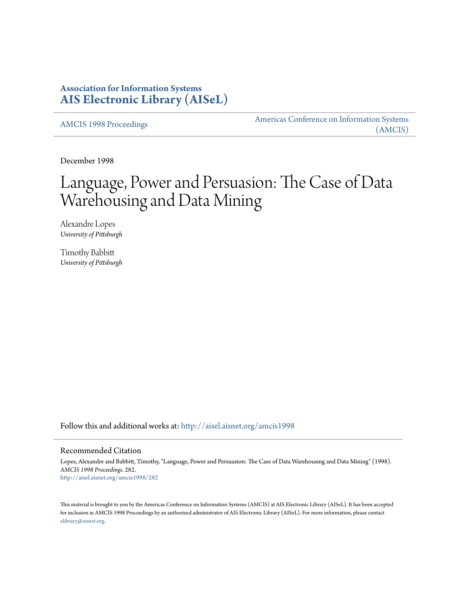# **Association for Information Systems [AIS Electronic Library \(AISeL\)](http://aisel.aisnet.org?utm_source=aisel.aisnet.org%2Famcis1998%2F282&utm_medium=PDF&utm_campaign=PDFCoverPages)**

[AMCIS 1998 Proceedings](http://aisel.aisnet.org/amcis1998?utm_source=aisel.aisnet.org%2Famcis1998%2F282&utm_medium=PDF&utm_campaign=PDFCoverPages)

[Americas Conference on Information Systems](http://aisel.aisnet.org/amcis?utm_source=aisel.aisnet.org%2Famcis1998%2F282&utm_medium=PDF&utm_campaign=PDFCoverPages) [\(AMCIS\)](http://aisel.aisnet.org/amcis?utm_source=aisel.aisnet.org%2Famcis1998%2F282&utm_medium=PDF&utm_campaign=PDFCoverPages)

December 1998

# Language, Power and Persuasion: The Case of Data Warehousing and Data Mining

Alexandre Lopes *University of Pittsburgh*

Timothy Babbitt *University of Pittsburgh*

Follow this and additional works at: [http://aisel.aisnet.org/amcis1998](http://aisel.aisnet.org/amcis1998?utm_source=aisel.aisnet.org%2Famcis1998%2F282&utm_medium=PDF&utm_campaign=PDFCoverPages)

## Recommended Citation

Lopes, Alexandre and Babbitt, Timothy, "Language, Power and Persuasion: The Case of Data Warehousing and Data Mining" (1998). *AMCIS 1998 Proceedings*. 282. [http://aisel.aisnet.org/amcis1998/282](http://aisel.aisnet.org/amcis1998/282?utm_source=aisel.aisnet.org%2Famcis1998%2F282&utm_medium=PDF&utm_campaign=PDFCoverPages)

This material is brought to you by the Americas Conference on Information Systems (AMCIS) at AIS Electronic Library (AISeL). It has been accepted for inclusion in AMCIS 1998 Proceedings by an authorized administrator of AIS Electronic Library (AISeL). For more information, please contact [elibrary@aisnet.org.](mailto:elibrary@aisnet.org%3E)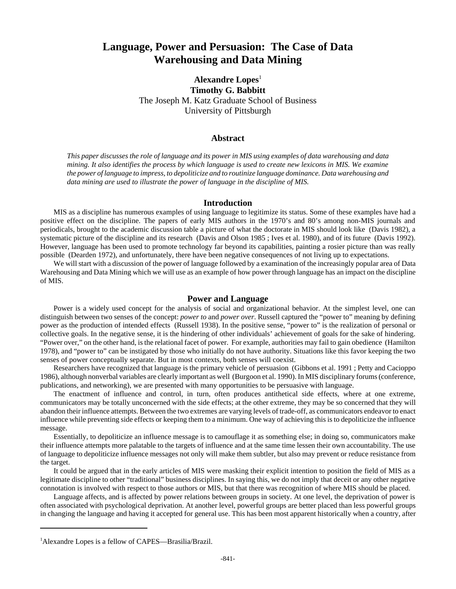# **Language, Power and Persuasion: The Case of Data Warehousing and Data Mining**

Alexandre Lopes<sup>1</sup> **Timothy G. Babbitt** The Joseph M. Katz Graduate School of Business University of Pittsburgh

### **Abstract**

*This paper discusses the role of language and its power in MIS using examples of data warehousing and data mining. It also identifies the process by which language is used to create new lexicons in MIS. We examine the power of language to impress, to depoliticize and to routinize language dominance. Data warehousing and data mining are used to illustrate the power of language in the discipline of MIS.*

#### **Introduction**

MIS as a discipline has numerous examples of using language to legitimize its status. Some of these examples have had a positive effect on the discipline. The papers of early MIS authors in the 1970's and 80's among non-MIS journals and periodicals, brought to the academic discussion table a picture of what the doctorate in MIS should look like (Davis 1982), a systematic picture of the discipline and its research (Davis and Olson 1985 ; Ives et al. 1980), and of its future (Davis 1992). However, language has been used to promote technology far beyond its capabilities, painting a rosier picture than was really possible (Dearden 1972), and unfortunately, there have been negative consequences of not living up to expectations.

We will start with a discussion of the power of language followed by a examination of the increasingly popular area of Data Warehousing and Data Mining which we will use as an example of how power through language has an impact on the discipline of MIS.

#### **Power and Language**

Power is a widely used concept for the analysis of social and organizational behavior. At the simplest level, one can distinguish between two senses of the concept: *power to* and *power over*. Russell captured the "power to" meaning by defining power as the production of intended effects (Russell 1938). In the positive sense, "power to" is the realization of personal or collective goals. In the negative sense, it is the hindering of other individuals' achievement of goals for the sake of hindering. "Power over," on the other hand, is the relational facet of power. For example, authorities may fail to gain obedience (Hamilton 1978), and "power to" can be instigated by those who initially do not have authority. Situations like this favor keeping the two senses of power conceptually separate. But in most contexts, both senses will coexist.

Researchers have recognized that language is the primary vehicle of persuasion (Gibbons et al. 1991 ; Petty and Cacioppo 1986), although nonverbal variables are clearly important as well (Burgoon et al. 1990). In MIS disciplinary forums (conference, publications, and networking), we are presented with many opportunities to be persuasive with language.

The enactment of influence and control, in turn, often produces antithetical side effects, where at one extreme, communicators may be totally unconcerned with the side effects; at the other extreme, they may be so concerned that they will abandon their influence attempts. Between the two extremes are varying levels of trade-off, as communicators endeavor to enact influence while preventing side effects or keeping them to a minimum. One way of achieving this is to depoliticize the influence message.

Essentially, to depoliticize an influence message is to camouflage it as something else; in doing so, communicators make their influence attempts more palatable to the targets of influence and at the same time lessen their own accountability. The use of language to depoliticize influence messages not only will make them subtler, but also may prevent or reduce resistance from the target.

It could be argued that in the early articles of MIS were masking their explicit intention to position the field of MIS as a legitimate discipline to other "traditional" business disciplines. In saying this, we do not imply that deceit or any other negative connotation is involved with respect to those authors or MIS, but that there was recognition of where MIS should be placed.

Language affects, and is affected by power relations between groups in society. At one level, the deprivation of power is often associated with psychological deprivation. At another level, powerful groups are better placed than less powerful groups in changing the language and having it accepted for general use. This has been most apparent historically when a country, after

<sup>&</sup>lt;sup>1</sup>Alexandre Lopes is a fellow of CAPES—Brasilia/Brazil.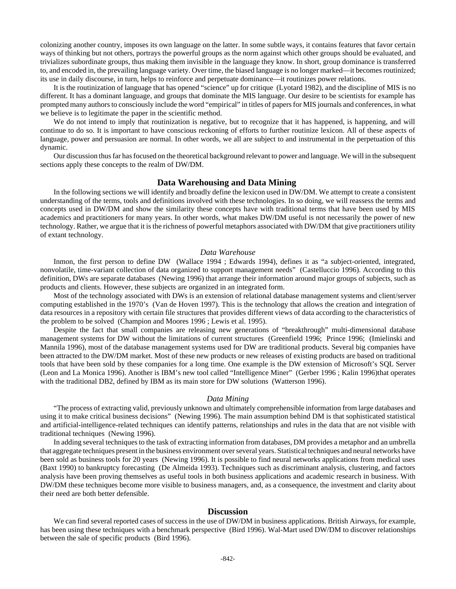colonizing another country, imposes its own language on the latter. In some subtle ways, it contains features that favor certain ways of thinking but not others, portrays the powerful groups as the norm against which other groups should be evaluated, and trivializes subordinate groups, thus making them invisible in the language they know. In short, group dominance is transferred to, and encoded in, the prevailing language variety. Over time, the biased language is no longer marked—it becomes routinized; its use in daily discourse, in turn, helps to reinforce and perpetuate dominance—it routinizes power relations.

It is the routinization of language that has opened "science" up for critique (Lyotard 1982), and the discipline of MIS is no different. It has a dominant language, and groups that dominate the MIS language. Our desire to be scientists for example has prompted many authors to consciously include the word "empirical" in titles of papers for MIS journals and conferences, in what we believe is to legitimate the paper in the scientific method.

We do not intend to imply that routinization is negative, but to recognize that it has happened, is happening, and will continue to do so. It is important to have conscious reckoning of efforts to further routinize lexicon. All of these aspects of language, power and persuasion are normal. In other words, we all are subject to and instrumental in the perpetuation of this dynamic.

Our discussion thus far has focused on the theoretical background relevant to power and language. We will in the subsequent sections apply these concepts to the realm of DW/DM.

### **Data Warehousing and Data Mining**

In the following sections we will identify and broadly define the lexicon used in DW/DM. We attempt to create a consistent understanding of the terms, tools and definitions involved with these technologies. In so doing, we will reassess the terms and concepts used in DW/DM and show the similarity these concepts have with traditional terms that have been used by MIS academics and practitioners for many years. In other words, what makes DW/DM useful is not necessarily the power of new technology. Rather, we argue that it is the richness of powerful metaphors associated with DW/DM that give practitioners utility of extant technology.

#### *Data Warehouse*

Inmon, the first person to define DW (Wallace 1994 ; Edwards 1994), defines it as "a subject-oriented, integrated, nonvolatile, time-variant collection of data organized to support management needs" (Castelluccio 1996). According to this definition, DWs are separate databases (Newing 1996) that arrange their information around major groups of subjects, such as products and clients. However, these subjects are organized in an integrated form.

Most of the technology associated with DWs is an extension of relational database management systems and client/server computing established in the 1970's (Van de Hoven 1997). This is the technology that allows the creation and integration of data resources in a repository with certain file structures that provides different views of data according to the characteristics of the problem to be solved (Champion and Moores 1996 ; Lewis et al. 1995).

Despite the fact that small companies are releasing new generations of "breakthrough" multi-dimensional database management systems for DW without the limitations of current structures (Greenfield 1996; Prince 1996; (Imielinski and Mannila 1996), most of the database management systems used for DW are traditional products. Several big companies have been attracted to the DW/DM market. Most of these new products or new releases of existing products are based on traditional tools that have been sold by these companies for a long time. One example is the DW extension of Microsoft's SQL Server (Leon and La Monica 1996). Another is IBM's new tool called "Intelligence Miner" (Gerber 1996 ; Kalin 1996)that operates with the traditional DB2, defined by IBM as its main store for DW solutions (Watterson 1996).

#### *Data Mining*

"The process of extracting valid, previously unknown and ultimately comprehensible information from large databases and using it to make critical business decisions" (Newing 1996). The main assumption behind DM is that sophisticated statistical and artificial-intelligence-related techniques can identify patterns, relationships and rules in the data that are not visible with traditional techniques (Newing 1996).

In adding several techniques to the task of extracting information from databases, DM provides a metaphor and an umbrella that aggregate techniques present in the business environment over several years. Statistical techniques and neural networks have been sold as business tools for 20 years (Newing 1996). It is possible to find neural networks applications from medical uses (Baxt 1990) to bankruptcy forecasting (De Almeida 1993). Techniques such as discriminant analysis, clustering, and factors analysis have been proving themselves as useful tools in both business applications and academic research in business. With DW/DM these techniques become more visible to business managers, and, as a consequence, the investment and clarity about their need are both better defensible.

# **Discussion**

We can find several reported cases of success in the use of DW/DM in business applications. British Airways, for example, has been using these techniques with a benchmark perspective (Bird 1996). Wal-Mart used DW/DM to discover relationships between the sale of specific products (Bird 1996).